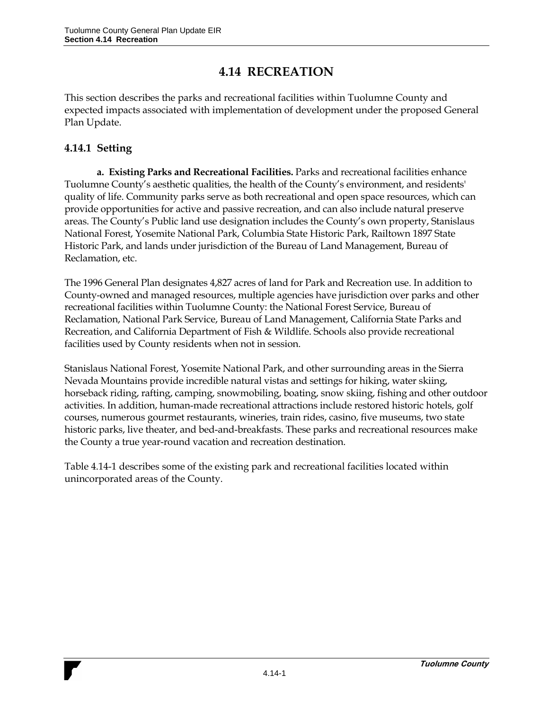## **4.14 RECREATION**

This section describes the parks and recreational facilities within Tuolumne County and expected impacts associated with implementation of development under the proposed General Plan Update.

## **4.14.1 Setting**

**a. Existing Parks and Recreational Facilities.** Parks and recreational facilities enhance Tuolumne County's aesthetic qualities, the health of the County's environment, and residents' quality of life. Community parks serve as both recreational and open space resources, which can provide opportunities for active and passive recreation, and can also include natural preserve areas. The County's Public land use designation includes the County's own property, Stanislaus National Forest, Yosemite National Park, Columbia State Historic Park, Railtown 1897 State Historic Park, and lands under jurisdiction of the Bureau of Land Management, Bureau of Reclamation, etc.

The 1996 General Plan designates 4,827 acres of land for Park and Recreation use. In addition to County-owned and managed resources, multiple agencies have jurisdiction over parks and other recreational facilities within Tuolumne County: the National Forest Service, Bureau of Reclamation, National Park Service, Bureau of Land Management, California State Parks and Recreation, and California Department of Fish & Wildlife. Schools also provide recreational facilities used by County residents when not in session.

Stanislaus National Forest, Yosemite National Park, and other surrounding areas in the Sierra Nevada Mountains provide incredible natural vistas and settings for hiking, water skiing, horseback riding, rafting, camping, snowmobiling, boating, snow skiing, fishing and other outdoor activities. In addition, human-made recreational attractions include restored historic hotels, golf courses, numerous gourmet restaurants, wineries, train rides, casino, five museums, two state historic parks, live theater, and bed-and-breakfasts. These parks and recreational resources make the County a true year-round vacation and recreation destination.

Table 4.14-1 describes some of the existing park and recreational facilities located within unincorporated areas of the County.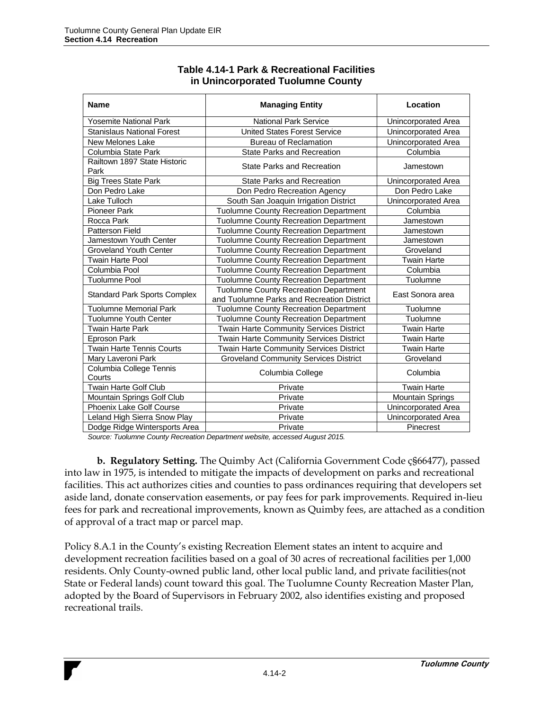| <b>Name</b>                          | <b>Managing Entity</b>                                                                     | Location                |
|--------------------------------------|--------------------------------------------------------------------------------------------|-------------------------|
| <b>Yosemite National Park</b>        | <b>National Park Service</b>                                                               | Unincorporated Area     |
| <b>Stanislaus National Forest</b>    | <b>United States Forest Service</b>                                                        | Unincorporated Area     |
| New Melones Lake                     | <b>Bureau of Reclamation</b>                                                               | Unincorporated Area     |
| Columbia State Park                  | <b>State Parks and Recreation</b>                                                          | Columbia                |
| Railtown 1897 State Historic<br>Park | <b>State Parks and Recreation</b>                                                          | Jamestown               |
| <b>Big Trees State Park</b>          | <b>State Parks and Recreation</b>                                                          | Unincorporated Area     |
| Don Pedro Lake                       | Don Pedro Recreation Agency                                                                | Don Pedro Lake          |
| Lake Tulloch                         | South San Joaquin Irrigation District                                                      | Unincorporated Area     |
| <b>Pioneer Park</b>                  | Tuolumne County Recreation Department                                                      | Columbia                |
| Rocca Park                           | <b>Tuolumne County Recreation Department</b>                                               | Jamestown               |
| <b>Patterson Field</b>               | <b>Tuolumne County Recreation Department</b>                                               | Jamestown               |
| Jamestown Youth Center               | <b>Tuolumne County Recreation Department</b>                                               | Jamestown               |
| Groveland Youth Center               | <b>Tuolumne County Recreation Department</b>                                               | Groveland               |
| <b>Twain Harte Pool</b>              | <b>Tuolumne County Recreation Department</b>                                               | Twain Harte             |
| Columbia Pool                        | <b>Tuolumne County Recreation Department</b>                                               | Columbia                |
| <b>Tuolumne Pool</b>                 | <b>Tuolumne County Recreation Department</b>                                               | Tuolumne                |
| <b>Standard Park Sports Complex</b>  | <b>Tuolumne County Recreation Department</b><br>and Tuolumne Parks and Recreation District | East Sonora area        |
| <b>Tuolumne Memorial Park</b>        | <b>Tuolumne County Recreation Department</b>                                               | Tuolumne                |
| Tuolumne Youth Center                | <b>Tuolumne County Recreation Department</b>                                               | Tuolumne                |
| <b>Twain Harte Park</b>              | <b>Twain Harte Community Services District</b>                                             | Twain Harte             |
| Eproson Park                         | <b>Twain Harte Community Services District</b>                                             | Twain Harte             |
| <b>Twain Harte Tennis Courts</b>     | Twain Harte Community Services District                                                    | <b>Twain Harte</b>      |
| Mary Laveroni Park                   | <b>Groveland Community Services District</b>                                               | Groveland               |
| Columbia College Tennis<br>Courts    | Columbia College                                                                           | Columbia                |
| <b>Twain Harte Golf Club</b>         | Private                                                                                    | Twain Harte             |
| Mountain Springs Golf Club           | Private                                                                                    | <b>Mountain Springs</b> |
| Phoenix Lake Golf Course             | Private                                                                                    | Unincorporated Area     |
| Leland High Sierra Snow Play         | Private                                                                                    | Unincorporated Area     |
| Dodge Ridge Wintersports Area        | Private                                                                                    | Pinecrest               |

## **Table 4.14-1 Park & Recreational Facilities in Unincorporated Tuolumne County**

*Source: Tuolumne County Recreation Department website, accessed August 2015.*

**b. Regulatory Setting.** The Quimby Act (California Government Code ç§66477), passed into law in 1975, is intended to mitigate the impacts of development on parks and recreational facilities. This act authorizes cities and counties to pass ordinances requiring that developers set aside land, donate conservation easements, or pay fees for park improvements. Required in-lieu fees for park and recreational improvements, known as Quimby fees, are attached as a condition of approval of a tract map or parcel map.

Policy 8.A.1 in the County's existing Recreation Element states an intent to acquire and development recreation facilities based on a goal of 30 acres of recreational facilities per 1,000 residents. Only County-owned public land, other local public land, and private facilities(not State or Federal lands) count toward this goal. The Tuolumne County Recreation Master Plan, adopted by the Board of Supervisors in February 2002, also identifies existing and proposed recreational trails.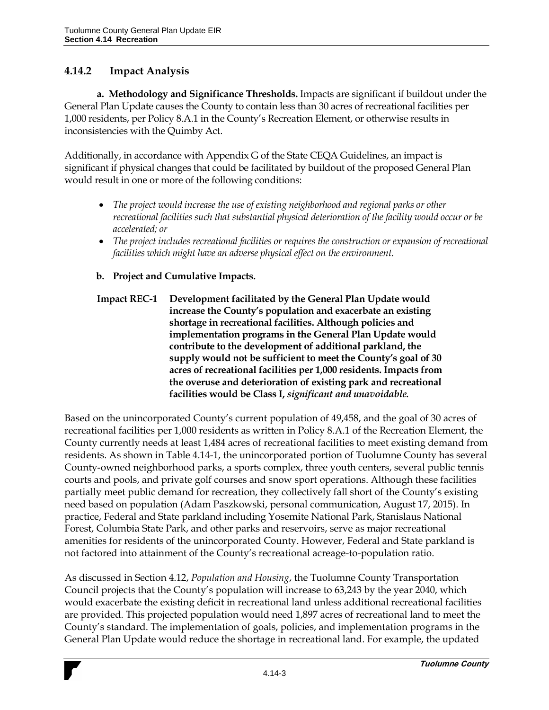## **4.14.2 Impact Analysis**

**a. Methodology and Significance Thresholds.** Impacts are significant if buildout under the General Plan Update causes the County to contain less than 30 acres of recreational facilities per 1,000 residents, per Policy 8.A.1 in the County's Recreation Element, or otherwise results in inconsistencies with the Quimby Act.

Additionally, in accordance with Appendix G of the State CEQA Guidelines, an impact is significant if physical changes that could be facilitated by buildout of the proposed General Plan would result in one or more of the following conditions:

- *The project would increase the use of existing neighborhood and regional parks or other recreational facilities such that substantial physical deterioration of the facility would occur or be accelerated; or*
- The project includes recreational facilities or requires the construction or expansion of recreational *facilities which might have an adverse physical effect on the environment.*
- **b. Project and Cumulative Impacts.**
- **Impact REC-1 Development facilitated by the General Plan Update would increase the County's population and exacerbate an existing shortage in recreational facilities. Although policies and implementation programs in the General Plan Update would contribute to the development of additional parkland, the supply would not be sufficient to meet the County's goal of 30 acres of recreational facilities per 1,000 residents. Impacts from the overuse and deterioration of existing park and recreational facilities would be Class I,** *significant and unavoidable.*

Based on the unincorporated County's current population of 49,458, and the goal of 30 acres of recreational facilities per 1,000 residents as written in Policy 8.A.1 of the Recreation Element, the County currently needs at least 1,484 acres of recreational facilities to meet existing demand from residents. As shown in Table 4.14-1, the unincorporated portion of Tuolumne County has several County-owned neighborhood parks, a sports complex, three youth centers, several public tennis courts and pools, and private golf courses and snow sport operations. Although these facilities partially meet public demand for recreation, they collectively fall short of the County's existing need based on population (Adam Paszkowski, personal communication, August 17, 2015). In practice, Federal and State parkland including Yosemite National Park, Stanislaus National Forest, Columbia State Park, and other parks and reservoirs, serve as major recreational amenities for residents of the unincorporated County. However, Federal and State parkland is not factored into attainment of the County's recreational acreage-to-population ratio.

As discussed in Section 4.12, *Population and Housing*, the Tuolumne County Transportation Council projects that the County's population will increase to 63,243 by the year 2040, which would exacerbate the existing deficit in recreational land unless additional recreational facilities are provided. This projected population would need 1,897 acres of recreational land to meet the County's standard. The implementation of goals, policies, and implementation programs in the General Plan Update would reduce the shortage in recreational land. For example, the updated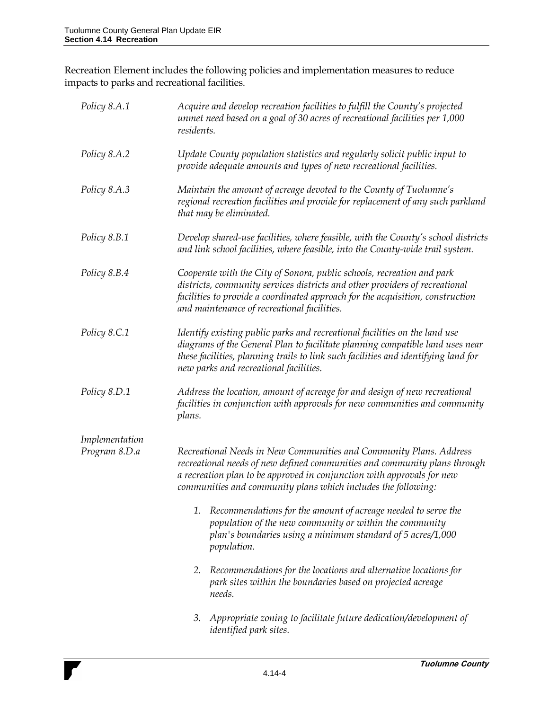Recreation Element includes the following policies and implementation measures to reduce impacts to parks and recreational facilities.

| Policy 8.A.1   | Acquire and develop recreation facilities to fulfill the County's projected<br>unmet need based on a goal of 30 acres of recreational facilities per 1,000<br>residents.                                                                                                                    |
|----------------|---------------------------------------------------------------------------------------------------------------------------------------------------------------------------------------------------------------------------------------------------------------------------------------------|
| Policy 8.A.2   | Update County population statistics and regularly solicit public input to<br>provide adequate amounts and types of new recreational facilities.                                                                                                                                             |
| Policy 8.A.3   | Maintain the amount of acreage devoted to the County of Tuolumne's<br>regional recreation facilities and provide for replacement of any such parkland<br>that may be eliminated.                                                                                                            |
| Policy 8.B.1   | Develop shared-use facilities, where feasible, with the County's school districts<br>and link school facilities, where feasible, into the County-wide trail system.                                                                                                                         |
| Policy 8.B.4   | Cooperate with the City of Sonora, public schools, recreation and park<br>districts, community services districts and other providers of recreational<br>facilities to provide a coordinated approach for the acquisition, construction<br>and maintenance of recreational facilities.      |
| Policy 8.C.1   | Identify existing public parks and recreational facilities on the land use<br>diagrams of the General Plan to facilitate planning compatible land uses near<br>these facilities, planning trails to link such facilities and identifying land for<br>new parks and recreational facilities. |
| Policy 8.D.1   | Address the location, amount of acreage for and design of new recreational<br>facilities in conjunction with approvals for new communities and community<br>plans.                                                                                                                          |
| Implementation |                                                                                                                                                                                                                                                                                             |
| Program 8.D.a  | Recreational Needs in New Communities and Community Plans. Address<br>recreational needs of new defined communities and community plans through<br>a recreation plan to be approved in conjunction with approvals for new<br>communities and community plans which includes the following:  |
|                | Recommendations for the amount of acreage needed to serve the<br>1.<br>population of the new community or within the community<br>plan's boundaries using a minimum standard of 5 acres/1,000<br>population.                                                                                |
|                | Recommendations for the locations and alternative locations for<br>2.<br>park sites within the boundaries based on projected acreage<br>needs.                                                                                                                                              |
|                | Appropriate zoning to facilitate future dedication/development of<br>3.<br><i>identified park sites.</i>                                                                                                                                                                                    |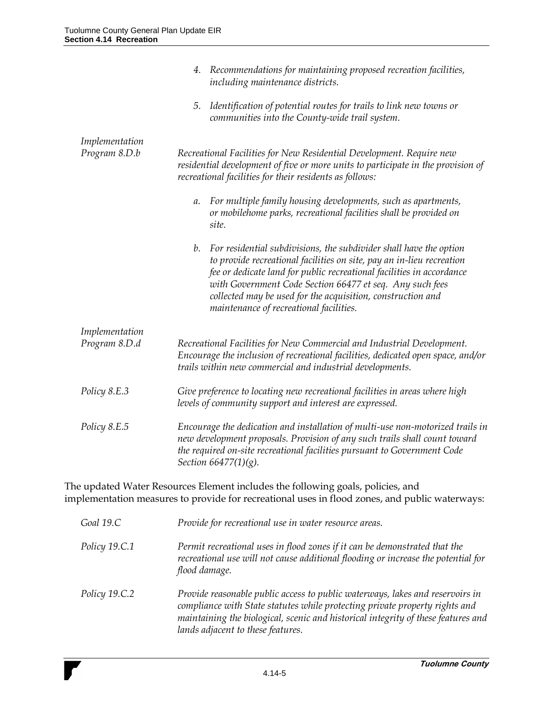|                                 | 4. Recommendations for maintaining proposed recreation facilities,<br>including maintenance districts.                                                                                                                                                                                                                                                                                           |  |
|---------------------------------|--------------------------------------------------------------------------------------------------------------------------------------------------------------------------------------------------------------------------------------------------------------------------------------------------------------------------------------------------------------------------------------------------|--|
|                                 | Identification of potential routes for trails to link new towns or<br>5.<br>communities into the County-wide trail system.                                                                                                                                                                                                                                                                       |  |
| Implementation<br>Program 8.D.b | Recreational Facilities for New Residential Development. Require new<br>residential development of five or more units to participate in the provision of<br>recreational facilities for their residents as follows:                                                                                                                                                                              |  |
|                                 | For multiple family housing developments, such as apartments,<br>a.<br>or mobilehome parks, recreational facilities shall be provided on<br>site.                                                                                                                                                                                                                                                |  |
|                                 | For residential subdivisions, the subdivider shall have the option<br>b.<br>to provide recreational facilities on site, pay an in-lieu recreation<br>fee or dedicate land for public recreational facilities in accordance<br>with Government Code Section 66477 et seq. Any such fees<br>collected may be used for the acquisition, construction and<br>maintenance of recreational facilities. |  |
| Implementation<br>Program 8.D.d | Recreational Facilities for New Commercial and Industrial Development.<br>Encourage the inclusion of recreational facilities, dedicated open space, and/or<br>trails within new commercial and industrial developments.                                                                                                                                                                          |  |
| Policy 8.E.3                    | Give preference to locating new recreational facilities in areas where high<br>levels of community support and interest are expressed.                                                                                                                                                                                                                                                           |  |
| Policy 8.E.5                    | Encourage the dedication and installation of multi-use non-motorized trails in<br>new development proposals. Provision of any such trails shall count toward<br>the required on-site recreational facilities pursuant to Government Code<br>Section 66477(1)(g).                                                                                                                                 |  |

The updated Water Resources Element includes the following goals, policies, and implementation measures to provide for recreational uses in flood zones, and public waterways:

| Goal 19.C     | Provide for recreational use in water resource areas.                                                                                                                                                                                                                                  |
|---------------|----------------------------------------------------------------------------------------------------------------------------------------------------------------------------------------------------------------------------------------------------------------------------------------|
| Policy 19.C.1 | Permit recreational uses in flood zones if it can be demonstrated that the<br>recreational use will not cause additional flooding or increase the potential for<br>flood damage.                                                                                                       |
| Policy 19.C.2 | Provide reasonable public access to public waterways, lakes and reservoirs in<br>compliance with State statutes while protecting private property rights and<br>maintaining the biological, scenic and historical integrity of these features and<br>lands adjacent to these features. |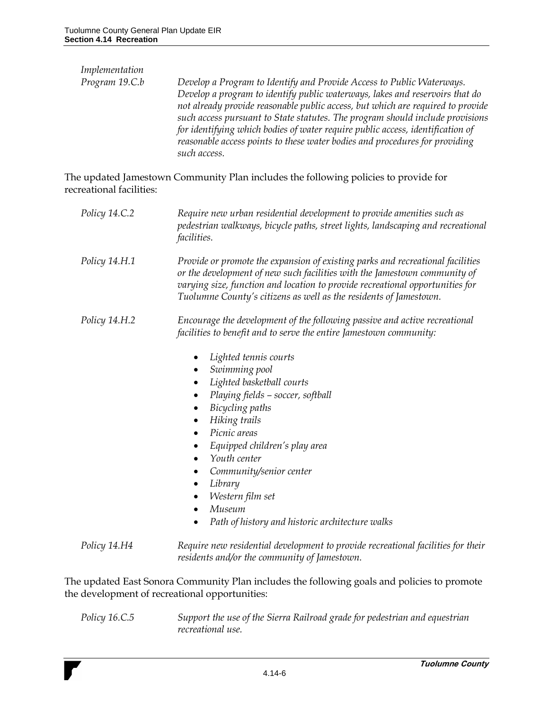| Develop a Program to Identify and Provide Access to Public Waterways.<br>Develop a program to identify public waterways, lakes and reservoirs that do<br>not already provide reasonable public access, but which are required to provide<br>such access pursuant to State statutes. The program should include provisions<br>for identifying which bodies of water require public access, identification of |
|-------------------------------------------------------------------------------------------------------------------------------------------------------------------------------------------------------------------------------------------------------------------------------------------------------------------------------------------------------------------------------------------------------------|
| reasonable access points to these water bodies and procedures for providing<br>such access.                                                                                                                                                                                                                                                                                                                 |
|                                                                                                                                                                                                                                                                                                                                                                                                             |

The updated Jamestown Community Plan includes the following policies to provide for recreational facilities:

| Policy 14.C.2 | Require new urban residential development to provide amenities such as<br>pedestrian walkways, bicycle paths, street lights, landscaping and recreational<br><i>facilities.</i>                                                                                                                                                           |
|---------------|-------------------------------------------------------------------------------------------------------------------------------------------------------------------------------------------------------------------------------------------------------------------------------------------------------------------------------------------|
| Policy 14.H.1 | Provide or promote the expansion of existing parks and recreational facilities<br>or the development of new such facilities with the Jamestown community of<br>varying size, function and location to provide recreational opportunities for<br>Tuolumne County's citizens as well as the residents of Jamestown.                         |
| Policy 14.H.2 | Encourage the development of the following passive and active recreational<br>facilities to benefit and to serve the entire Jamestown community:                                                                                                                                                                                          |
|               | Lighted tennis courts<br>Swimming pool<br>Lighted basketball courts<br>Playing fields - soccer, softball<br>Bicycling paths<br>Hiking trails<br>Picnic areas<br>Equipped children's play area<br>Youth center<br>Community/senior center<br>Library<br>٠<br>Western film set<br>Museum<br>Path of history and historic architecture walks |
| Policy 14.H4  | Require new residential development to provide recreational facilities for their<br>residents and/or the community of Jamestown.                                                                                                                                                                                                          |

The updated East Sonora Community Plan includes the following goals and policies to promote the development of recreational opportunities:

*Policy 16.C.5 Support the use of the Sierra Railroad grade for pedestrian and equestrian recreational use.*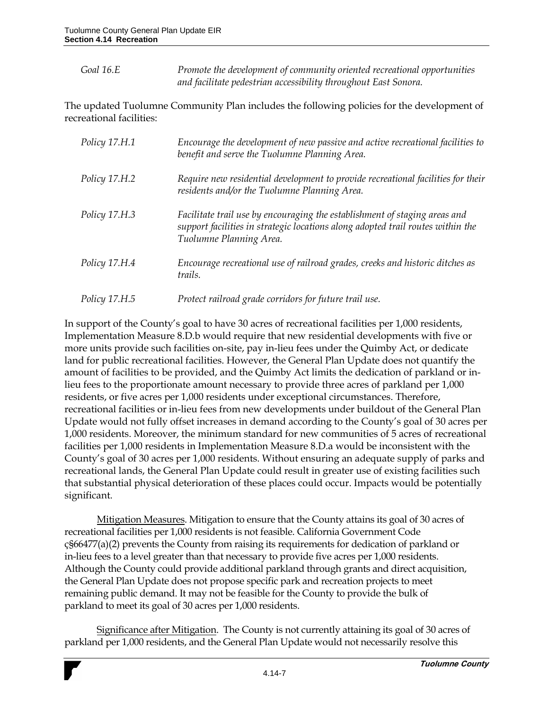*Goal 16.E Promote the development of community oriented recreational opportunities and facilitate pedestrian accessibility throughout East Sonora.*

The updated Tuolumne Community Plan includes the following policies for the development of recreational facilities:

| Policy 17.H.1 | Encourage the development of new passive and active recreational facilities to<br>benefit and serve the Tuolumne Planning Area.                                                          |
|---------------|------------------------------------------------------------------------------------------------------------------------------------------------------------------------------------------|
| Policy 17.H.2 | Require new residential development to provide recreational facilities for their<br>residents and/or the Tuolumne Planning Area.                                                         |
| Policy 17.H.3 | Facilitate trail use by encouraging the establishment of staging areas and<br>support facilities in strategic locations along adopted trail routes within the<br>Tuolumne Planning Area. |
| Policy 17.H.4 | Encourage recreational use of railroad grades, creeks and historic ditches as<br>trails.                                                                                                 |
| Policy 17.H.5 | Protect railroad grade corridors for future trail use.                                                                                                                                   |

In support of the County's goal to have 30 acres of recreational facilities per 1,000 residents, Implementation Measure 8.D.b would require that new residential developments with five or more units provide such facilities on-site, pay in-lieu fees under the Quimby Act, or dedicate land for public recreational facilities. However, the General Plan Update does not quantify the amount of facilities to be provided, and the Quimby Act limits the dedication of parkland or inlieu fees to the proportionate amount necessary to provide three acres of parkland per 1,000 residents, or five acres per 1,000 residents under exceptional circumstances. Therefore, recreational facilities or in-lieu fees from new developments under buildout of the General Plan Update would not fully offset increases in demand according to the County's goal of 30 acres per 1,000 residents. Moreover, the minimum standard for new communities of 5 acres of recreational facilities per 1,000 residents in Implementation Measure 8.D.a would be inconsistent with the County's goal of 30 acres per 1,000 residents. Without ensuring an adequate supply of parks and recreational lands, the General Plan Update could result in greater use of existing facilities such that substantial physical deterioration of these places could occur. Impacts would be potentially significant.

Mitigation Measures. Mitigation to ensure that the County attains its goal of 30 acres of recreational facilities per 1,000 residents is not feasible. California Government Code ç§66477(a)(2) prevents the County from raising its requirements for dedication of parkland or in-lieu fees to a level greater than that necessary to provide five acres per 1,000 residents. Although the County could provide additional parkland through grants and direct acquisition, the General Plan Update does not propose specific park and recreation projects to meet remaining public demand. It may not be feasible for the County to provide the bulk of parkland to meet its goal of 30 acres per 1,000 residents.

Significance after Mitigation. The County is not currently attaining its goal of 30 acres of parkland per 1,000 residents, and the General Plan Update would not necessarily resolve this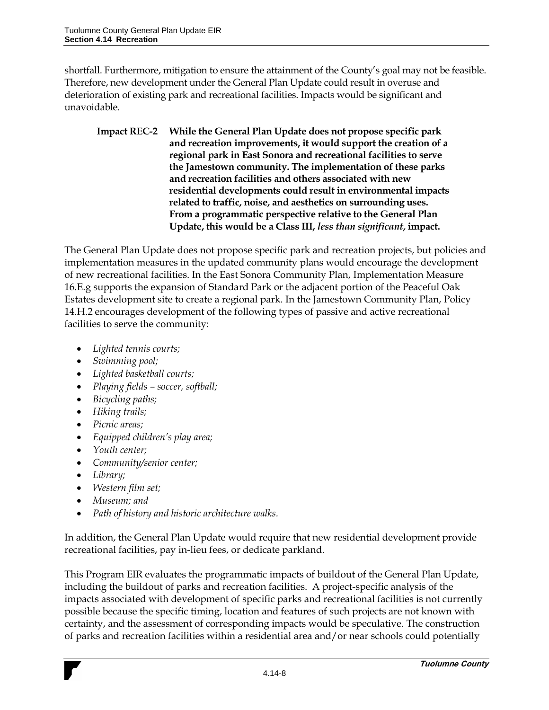shortfall. Furthermore, mitigation to ensure the attainment of the County's goal may not be feasible. Therefore, new development under the General Plan Update could result in overuse and deterioration of existing park and recreational facilities. Impacts would be significant and unavoidable.

**Impact REC-2 While the General Plan Update does not propose specific park and recreation improvements, it would support the creation of a regional park in East Sonora and recreational facilities to serve the Jamestown community. The implementation of these parks and recreation facilities and others associated with new residential developments could result in environmental impacts related to traffic, noise, and aesthetics on surrounding uses. From a programmatic perspective relative to the General Plan Update, this would be a Class III,** *less than significant***, impact.**

The General Plan Update does not propose specific park and recreation projects, but policies and implementation measures in the updated community plans would encourage the development of new recreational facilities. In the East Sonora Community Plan, Implementation Measure 16.E.g supports the expansion of Standard Park or the adjacent portion of the Peaceful Oak Estates development site to create a regional park. In the Jamestown Community Plan, Policy 14.H.2 encourages development of the following types of passive and active recreational facilities to serve the community:

- *Lighted tennis courts;*
- *Swimming pool;*
- *Lighted basketball courts;*
- *Playing fields – soccer, softball;*
- *Bicycling paths;*
- *Hiking trails;*
- *Picnic areas;*
- *Equipped children's play area;*
- *Youth center;*
- *Community/senior center;*
- *Library;*
- *Western film set;*
- *Museum; and*
- *Path of history and historic architecture walks.*

In addition, the General Plan Update would require that new residential development provide recreational facilities, pay in-lieu fees, or dedicate parkland.

This Program EIR evaluates the programmatic impacts of buildout of the General Plan Update, including the buildout of parks and recreation facilities. A project-specific analysis of the impacts associated with development of specific parks and recreational facilities is not currently possible because the specific timing, location and features of such projects are not known with certainty, and the assessment of corresponding impacts would be speculative. The construction of parks and recreation facilities within a residential area and/or near schools could potentially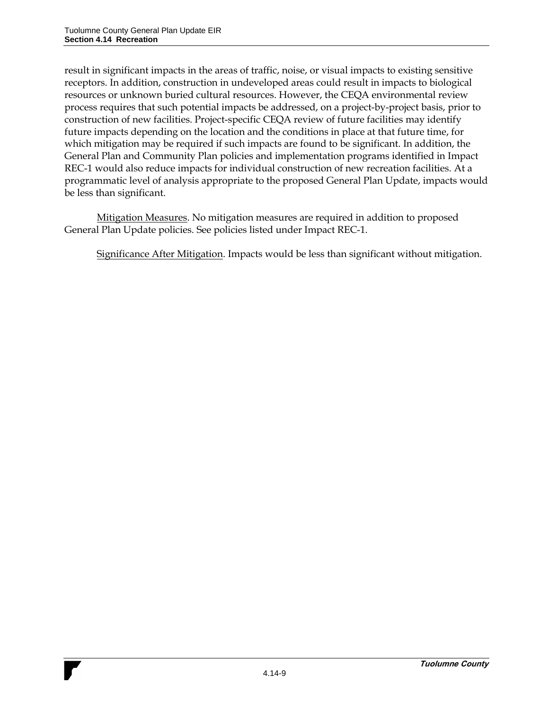result in significant impacts in the areas of traffic, noise, or visual impacts to existing sensitive receptors. In addition, construction in undeveloped areas could result in impacts to biological resources or unknown buried cultural resources. However, the CEQA environmental review process requires that such potential impacts be addressed, on a project-by-project basis, prior to construction of new facilities. Project-specific CEQA review of future facilities may identify future impacts depending on the location and the conditions in place at that future time, for which mitigation may be required if such impacts are found to be significant. In addition, the General Plan and Community Plan policies and implementation programs identified in Impact REC-1 would also reduce impacts for individual construction of new recreation facilities. At a programmatic level of analysis appropriate to the proposed General Plan Update, impacts would be less than significant.

Mitigation Measures. No mitigation measures are required in addition to proposed General Plan Update policies. See policies listed under Impact REC-1.

Significance After Mitigation. Impacts would be less than significant without mitigation.